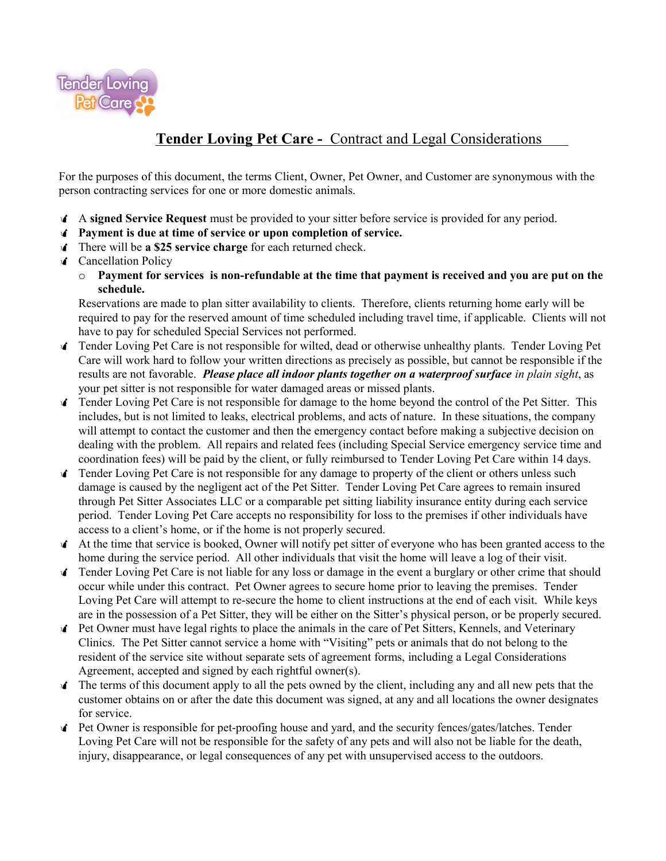

## **Tender Loving Pet Care -** Contract and Legal Considerations

For the purposes of this document, the terms Client, Owner, Pet Owner, and Customer are synonymous with the person contracting services for one or more domestic animals.

- A **signed Service Request** must be provided to your sitter before service is provided for any period.
- **Payment is due at time of service or upon completion of service.**
- There will be **a \$25 service charge** for each returned check.
- *f* Cancellation Policy
	- o **Payment for services is non-refundable at the time that payment is received and you are put on the schedule.**

Reservations are made to plan sitter availability to clients. Therefore, clients returning home early will be required to pay for the reserved amount of time scheduled including travel time, if applicable. Clients will not have to pay for scheduled Special Services not performed.

- Tender Loving Pet Care is not responsible for wilted, dead or otherwise unhealthy plants. Tender Loving Pet Care will work hard to follow your written directions as precisely as possible, but cannot be responsible if the results are not favorable. *Please place all indoor plants together on a waterproof surface in plain sight*, as your pet sitter is not responsible for water damaged areas or missed plants.
- Tender Loving Pet Care is not responsible for damage to the home beyond the control of the Pet Sitter. This includes, but is not limited to leaks, electrical problems, and acts of nature. In these situations, the company will attempt to contact the customer and then the emergency contact before making a subjective decision on dealing with the problem. All repairs and related fees (including Special Service emergency service time and coordination fees) will be paid by the client, or fully reimbursed to Tender Loving Pet Care within 14 days.
- **Tender Loving Pet Care is not responsible for any damage to property of the client or others unless such** damage is caused by the negligent act of the Pet Sitter. Tender Loving Pet Care agrees to remain insured through Pet Sitter Associates LLC or a comparable pet sitting liability insurance entity during each service period. Tender Loving Pet Care accepts no responsibility for loss to the premises if other individuals have access to a client's home, or if the home is not properly secured.
- At the time that service is booked, Owner will notify pet sitter of everyone who has been granted access to the home during the service period. All other individuals that visit the home will leave a log of their visit.
- Tender Loving Pet Care is not liable for any loss or damage in the event a burglary or other crime that should occur while under this contract. Pet Owner agrees to secure home prior to leaving the premises. Tender Loving Pet Care will attempt to re-secure the home to client instructions at the end of each visit. While keys are in the possession of a Pet Sitter, they will be either on the Sitter's physical person, or be properly secured.
- Pet Owner must have legal rights to place the animals in the care of Pet Sitters, Kennels, and Veterinary Clinics. The Pet Sitter cannot service a home with "Visiting" pets or animals that do not belong to the resident of the service site without separate sets of agreement forms, including a Legal Considerations Agreement, accepted and signed by each rightful owner(s).
- The terms of this document apply to all the pets owned by the client, including any and all new pets that the customer obtains on or after the date this document was signed, at any and all locations the owner designates for service.
- Pet Owner is responsible for pet-proofing house and yard, and the security fences/gates/latches. Tender Loving Pet Care will not be responsible for the safety of any pets and will also not be liable for the death, injury, disappearance, or legal consequences of any pet with unsupervised access to the outdoors.